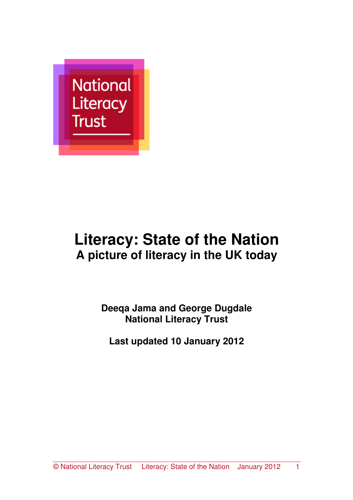

# **Literacy: State of the Nation A picture of literacy in the UK today**

**Deeqa Jama and George Dugdale National Literacy Trust** 

**Last updated 10 January 2012**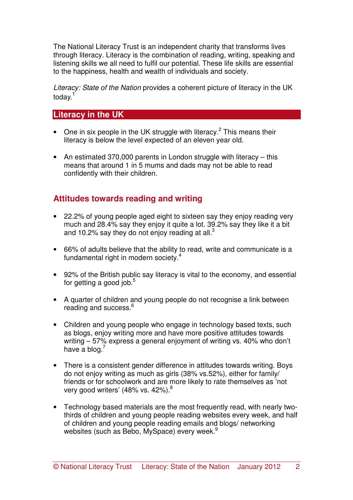The National Literacy Trust is an independent charity that transforms lives through literacy. Literacy is the combination of reading, writing, speaking and listening skills we all need to fulfil our potential. These life skills are essential to the happiness, health and wealth of individuals and society.

Literacy: State of the Nation provides a coherent picture of literacy in the UK today.<sup>1</sup>

## **Literacy in the UK**

- One in six people in the UK struggle with literacy.<sup>2</sup> This means their literacy is below the level expected of an eleven year old.
- An estimated 370,000 parents in London struggle with literacy this means that around 1 in 5 mums and dads may not be able to read confidently with their children.

## **Attitudes towards reading and writing**

- 22.2% of young people aged eight to sixteen say they enjoy reading very much and 28.4% say they enjoy it quite a lot. 39.2% say they like it a bit and 10.2% say they do not enjoy reading at all. $3$
- 66% of adults believe that the ability to read, write and communicate is a fundamental right in modern society.<sup>4</sup>
- 92% of the British public say literacy is vital to the economy, and essential for getting a good job.<sup>5</sup>
- A quarter of children and young people do not recognise a link between reading and success.<sup>6</sup>
- Children and young people who engage in technology based texts, such as blogs, enjoy writing more and have more positive attitudes towards writing – 57% express a general enjoyment of writing vs. 40% who don't have a blog. $<sup>7</sup>$ </sup>
- There is a consistent gender difference in attitudes towards writing. Boys do not enjoy writing as much as girls (38% vs.52%), either for family/ friends or for schoolwork and are more likely to rate themselves as 'not very good writers' (48% vs. 42%).<sup>8</sup>
- Technology based materials are the most frequently read, with nearly twothirds of children and young people reading websites every week, and half of children and young people reading emails and blogs/ networking websites (such as Bebo, MySpace) every week.<sup>9</sup>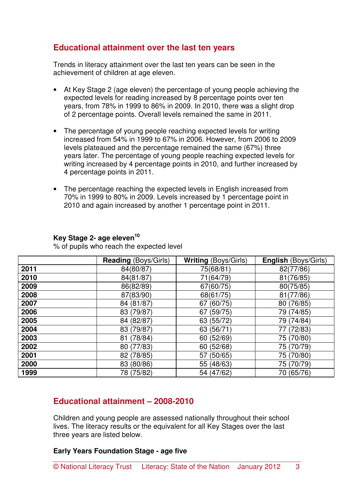## **Educational attainment over the last ten years**

Trends in literacy attainment over the last ten years can be seen in the achievement of children at age eleven.

- At Key Stage 2 (age eleven) the percentage of young people achieving the expected levels for reading increased by 8 percentage points over ten years, from 78% in 1999 to 86% in 2009. In 2010, there was a slight drop of 2 percentage points. Overall levels remained the same in 2011.
- The percentage of young people reaching expected levels for writing increased from 54% in 1999 to 67% in 2006. However, from 2006 to 2009 levels plateaued and the percentage remained the same (67%) three years later. The percentage of young people reaching expected levels for writing increased by 4 percentage points in 2010, and further increased by 4 percentage points in 2011.
- The percentage reaching the expected levels in English increased from 70% in 1999 to 80% in 2009. Levels increased by 1 percentage point in 2010 and again increased by another 1 percentage point in 2011.

#### **Key Stage 2- age eleven<sup>10</sup>**

% of pupils who reach the expected level

|      | <b>Reading (Boys/Girls)</b> | <b>Writing (Boys/Girls)</b> | <b>English (Boys/Girls)</b> |
|------|-----------------------------|-----------------------------|-----------------------------|
| 2011 | 84(80/87)                   | 75(68/81)                   | 82(77/86)                   |
| 2010 | 84(81/87)                   | 71(64/79)                   | 81(76/85)                   |
| 2009 | 86(82/89)                   | 67(60/75)                   | 80(75/85)                   |
| 2008 | 87(83/90)                   | 68(61/75)                   | 81(77/86)                   |
| 2007 | 84 (81/87)                  | 67 (60/75)                  | 80 (76/85)                  |
| 2006 | 83 (79/87)                  | 67 (59/75)                  | 79 (74/85)                  |
| 2005 | 84 (82/87)                  | 63 (55/72)                  | 79 (74/84)                  |
| 2004 | 83 (79/87)                  | 63 (56/71)                  | 77 (72/83)                  |
| 2003 | 81 (78/84)                  | 60 (52/69)                  | 75 (70/80)                  |
| 2002 | 80 (77/83)                  | 60 (52/68)                  | 75 (70/79)                  |
| 2001 | 82 (78/85)                  | 57 (50/65)                  | 75 (70/80)                  |
| 2000 | 83 (80/86)                  | 55 (48/63)                  | 75 (70/79)                  |
| 1999 | 78 (75/82)                  | 54 (47/62)                  | 70 (65/76)                  |

## **Educational attainment – 2008-2010**

Children and young people are assessed nationally throughout their school lives. The literacy results or the equivalent for all Key Stages over the last three years are listed below.

#### **Early Years Foundation Stage - age five**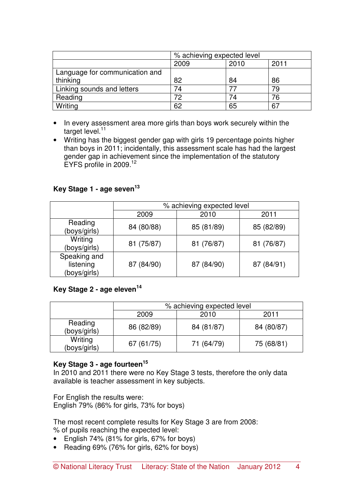|                                | % achieving expected level |      |      |
|--------------------------------|----------------------------|------|------|
|                                | 2009                       | 2010 | 2011 |
| Language for communication and |                            |      |      |
| thinking                       | 82                         | 84   | 86   |
| Linking sounds and letters     | 74                         |      | 79   |
| Reading                        | 72                         | 74   | 76   |
| Writing                        | 62                         | 65   | 67   |

- In every assessment area more girls than boys work securely within the target level. $11$
- Writing has the biggest gender gap with girls 19 percentage points higher than boys in 2011; incidentally, this assessment scale has had the largest gender gap in achievement since the implementation of the statutory EYFS profile in 2009.<sup>12</sup>

### **Key Stage 1 - age seven<sup>13</sup>**

|                                           | % achieving expected level |            |            |  |
|-------------------------------------------|----------------------------|------------|------------|--|
|                                           | 2009                       | 2010       | 2011       |  |
| Reading<br>(boys/girls)                   | 84 (80/88)                 | 85 (81/89) | 85 (82/89) |  |
| Writing<br>(boys/girls)                   | 81 (75/87)                 | 81 (76/87) | 81 (76/87) |  |
| Speaking and<br>listening<br>(boys/girls) | 87 (84/90)                 | 87 (84/90) | 87 (84/91) |  |

#### **Key Stage 2 - age eleven<sup>14</sup>**

|                         | % achieving expected level |            |            |  |
|-------------------------|----------------------------|------------|------------|--|
|                         | 2009                       | 2010       | 2011       |  |
| Reading<br>(boys/girls) | 86 (82/89)                 | 84 (81/87) | 84 (80/87) |  |
| Writing<br>(boys/girls) | 67 (61/75)                 | 71 (64/79) | 75 (68/81) |  |

## **Key Stage 3 - age fourteen<sup>15</sup>**

In 2010 and 2011 there were no Key Stage 3 tests, therefore the only data available is teacher assessment in key subjects.

For English the results were: English 79% (86% for girls, 73% for boys)

The most recent complete results for Key Stage 3 are from 2008: % of pupils reaching the expected level:

- English 74% (81% for girls, 67% for boys)
- Reading 69% (76% for girls, 62% for boys)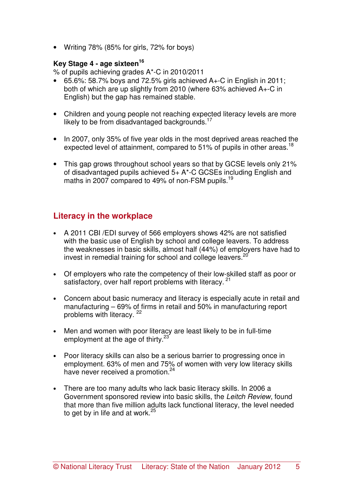• Writing 78% (85% for girls, 72% for boys)

#### **Key Stage 4 - age sixteen<sup>16</sup>**

% of pupils achieving grades A\*-C in 2010/2011

- $\bullet$  65.6%: 58.7% boys and 72.5% girls achieved A+-C in English in 2011; both of which are up slightly from 2010 (where 63% achieved A+-C in English) but the gap has remained stable.
- Children and young people not reaching expected literacy levels are more likely to be from disadvantaged backgrounds.<sup>17</sup>
- In 2007, only 35% of five year olds in the most deprived areas reached the expected level of attainment, compared to 51% of pupils in other areas.<sup>18</sup>
- This gap grows throughout school years so that by GCSE levels only 21% of disadvantaged pupils achieved 5+ A\*-C GCSEs including English and maths in 2007 compared to 49% of non-FSM pupils.<sup>19</sup>

# **Literacy in the workplace**

- A 2011 CBI /EDI survey of 566 employers shows 42% are not satisfied with the basic use of English by school and college leavers. To address the weaknesses in basic skills, almost half (44%) of employers have had to invest in remedial training for school and college leavers. $^{20}$
- Of employers who rate the competency of their low-skilled staff as poor or satisfactory, over half report problems with literacy.<sup>21</sup>
- Concern about basic numeracy and literacy is especially acute in retail and manufacturing – 69% of firms in retail and 50% in manufacturing report problems with literacy.<sup>22</sup>
- Men and women with poor literacy are least likely to be in full-time employment at the age of thirty. $23$
- Poor literacy skills can also be a serious barrier to progressing once in employment. 63% of men and 75% of women with very low literacy skills have never received a promotion.<sup>24</sup>
- There are too many adults who lack basic literacy skills. In 2006 a Government sponsored review into basic skills, the Leitch Review, found that more than five million adults lack functional literacy, the level needed to get by in life and at work. $25$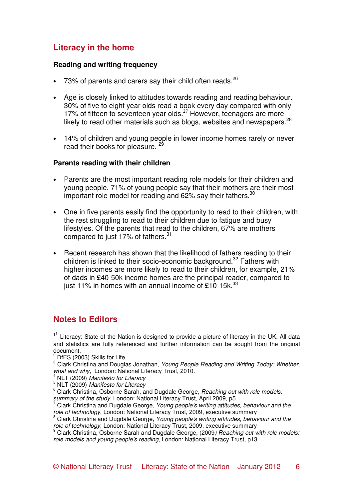# **Literacy in the home**

#### **Reading and writing frequency**

- 73% of parents and carers say their child often reads. $^{26}$
- Age is closely linked to attitudes towards reading and reading behaviour. 30% of five to eight year olds read a book every day compared with only 17% of fifteen to seventeen year olds. $27$  However, teenagers are more likely to read other materials such as blogs, websites and newspapers.<sup>28</sup>
- 14% of children and young people in lower income homes rarely or never read their books for pleasure.<sup>2</sup>

#### **Parents reading with their children**

- Parents are the most important reading role models for their children and young people. 71% of young people say that their mothers are their most important role model for reading and 62% say their fathers. $30$
- One in five parents easily find the opportunity to read to their children, with the rest struggling to read to their children due to fatigue and busy lifestyles. Of the parents that read to the children, 67% are mothers compared to just 17% of fathers.<sup>31</sup>
- Recent research has shown that the likelihood of fathers reading to their children is linked to their socio-economic background.<sup>32</sup> Fathers with higher incomes are more likely to read to their children, for example, 21% of dads in £40-50k income homes are the principal reader, compared to just 11% in homes with an annual income of £10-15k. $^{33}$

#### **Notes to Editors**  l.

 $11$  Literacy: State of the Nation is designed to provide a picture of literacy in the UK. All data and statistics are fully referenced and further information can be sought from the original

document.<br><sup>2</sup> DfES (2003) Skills for Life

 $3$  Clark Christina and Douglas Jonathan, Young People Reading and Writing Today: Whether, what and why, London: National Literacy Trust, 2010.

 $<sup>4</sup>$  NLT (2009) Manifesto for Literacy</sup>

 $5$  NLT (2009) Manifesto for Literacy

 $6$  Clark Christina, Osborne Sarah, and Dugdale George, Reaching out with role models: summary of the study, London: National Literacy Trust, April 2009, p5<br><sup>7</sup> Clark Christine and Duadele George, *Young people's writing ettitude* 

Clark Christina and Dugdale George, Young people's writing attitudes, behaviour and the role of technology, London: National Literacy Trust, 2009, executive summary

<sup>&</sup>lt;sup>8</sup> Clark Christina and Dugdale George, Young people's writing attitudes, behaviour and the role of technology, London: National Literacy Trust, 2009, executive summary

<sup>&</sup>lt;sup>9</sup> Clark Christina, Osborne Sarah and Dugdale George, (2009) Reaching out with role models: role models and young people's reading, London: National Literacy Trust, p13